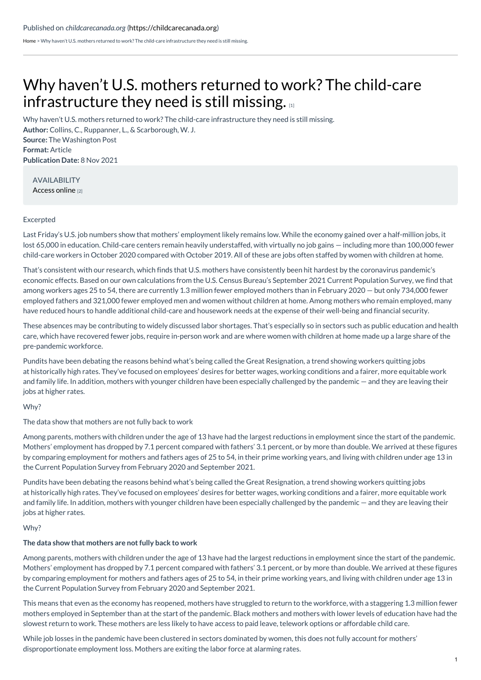[Home](https://childcarecanada.org/) > Why haven't U.S. mothers returned to work? The child-care infrastructure they need is still missing.

# Why haven't U.S. mothers returned to work? The child-care [infrastructure](https://childcarecanada.org/documents/research-policy-practice/21/11/why-haven%25E2%2580%2599t-us-mothers-returned-work-child-care) they need is still missing.

**Author:** Collins, C., Ruppanner, L., & Scarborough, W. J. **Source:** The Washington Post **Format:** Article **Publication Date:** 8 Nov 2021 Why haven't U.S. mothers returned to work? The child-care infrastructure they need is still missing.

AVAILABILITY [Access](https://www.washingtonpost.com/politics/2021/11/08/why-havent-us-mothers-returned-work-child-care-infrastructure-they-need-is-still-missing/) online [2]

# Excerpted

Last Friday's U.S. job numbers show that mothers' employment likely remains low. While the economy gained over a half-million jobs, it lost 65,000 in education. Child-care centers remain heavily understaffed, with virtually no job gains — including more than 100,000 fewer child-care workers in October 2020 compared with October 2019. All of these are jobs often staffed by women with children at home.

That's consistent with our research, which finds that U.S. mothers have consistently been hit hardest by the coronavirus pandemic's economic effects. Based on our own calculations from the U.S. Census Bureau's September 2021 Current Population Survey, we find that among workers ages 25 to 54, there are currently 1.3 million fewer employed mothers than in February 2020 — but only 734,000 fewer employed fathers and 321,000 fewer employed men and women without children at home. Among mothers who remain employed, many have reduced hours to handle additional child-care and housework needs at the expense of their well-being and financial security.

These absences may be contributing to widely discussed labor shortages. That's especially so in sectors such as public education and health care, which have recovered fewer jobs, require in-person work and are where women with children at home made up a large share of the pre-pandemic workforce.

Pundits have been debating the reasons behind what's being called the Great Resignation, a trend showing workers quitting jobs at historically high rates. They've focused on employees' desires for better wages, working conditions and a fairer, more equitable work and family life. In addition, mothers with younger children have been especially challenged by the pandemic — and they are leaving their jobs at higher rates.

# Why?

The data show that mothers are not fully back to work

Among parents, mothers with children under the age of 13 have had the largest reductions in employment since the start of the pandemic. Mothers' employment has dropped by 7.1 percent compared with fathers' 3.1 percent, or by more than double. We arrived at these figures by comparing employment for mothers and fathers ages of 25 to 54, in their prime working years, and living with children under age 13 in the Current Population Survey from February 2020 and September 2021.

Pundits have been debating the reasons behind what's being called the Great Resignation, a trend showing workers quitting jobs at historically high rates. They've focused on employees' desires for better wages, working conditions and a fairer, more equitable work and family life. In addition, mothers with younger children have been especially challenged by the pandemic — and they are leaving their jobs at higher rates.

#### Why?

# **The data show that mothers are not fully back to work**

Among parents, mothers with children under the age of 13 have had the largest reductions in employment since the start of the pandemic. Mothers' employment has dropped by 7.1 percent compared with fathers' 3.1 percent, or by more than double. We arrived at these figures by comparing employment for mothers and fathers ages of 25 to 54, in their prime working years, and living with children under age 13 in the Current Population Survey from February 2020 and September 2021.

This means that even as the economy has reopened, mothers have struggled to return to the workforce, with a staggering 1.3 million fewer mothers employed in September than at the start of the pandemic. Black mothers and mothers with lower levels of education have had the slowest return to work. These mothers are less likely to have access to paid leave, telework options or affordable child care.

While job losses in the pandemic have been clustered in sectors dominated by women, this does not fully account for mothers' disproportionate employment loss. Mothers are exiting the labor force at alarming rates.